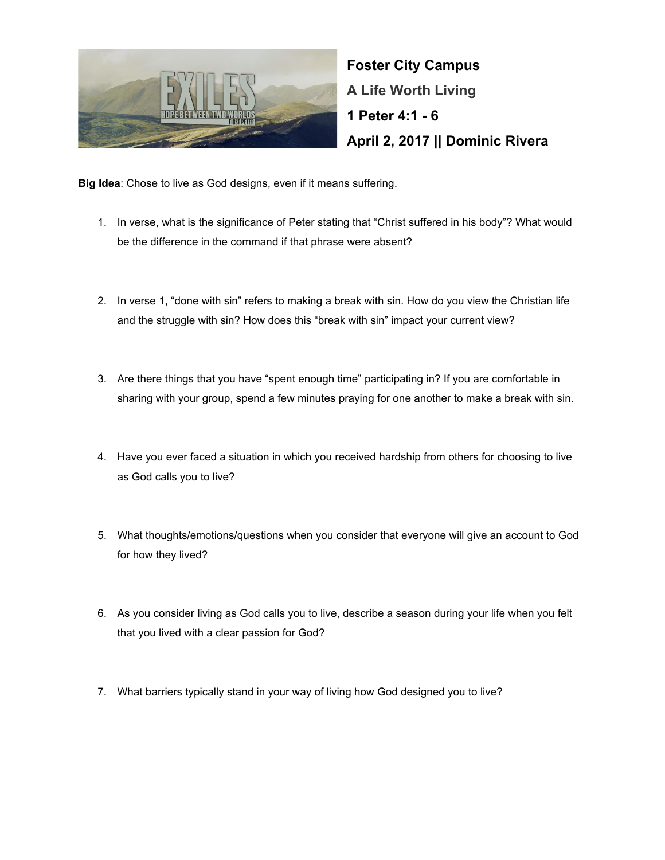

**Foster City Campus A Life Worth Living 1 Peter 4:1 - 6 April 2, 2017 || Dominic Rivera**

**Big Idea**: Chose to live as God designs, even if it means suffering.

- 1. In verse, what is the significance of Peter stating that "Christ suffered in his body"? What would be the difference in the command if that phrase were absent?
- 2. In verse 1, "done with sin" refers to making a break with sin. How do you view the Christian life and the struggle with sin? How does this "break with sin" impact your current view?
- 3. Are there things that you have "spent enough time" participating in? If you are comfortable in sharing with your group, spend a few minutes praying for one another to make a break with sin.
- 4. Have you ever faced a situation in which you received hardship from others for choosing to live as God calls you to live?
- 5. What thoughts/emotions/questions when you consider that everyone will give an account to God for how they lived?
- 6. As you consider living as God calls you to live, describe a season during your life when you felt that you lived with a clear passion for God?
- 7. What barriers typically stand in your way of living how God designed you to live?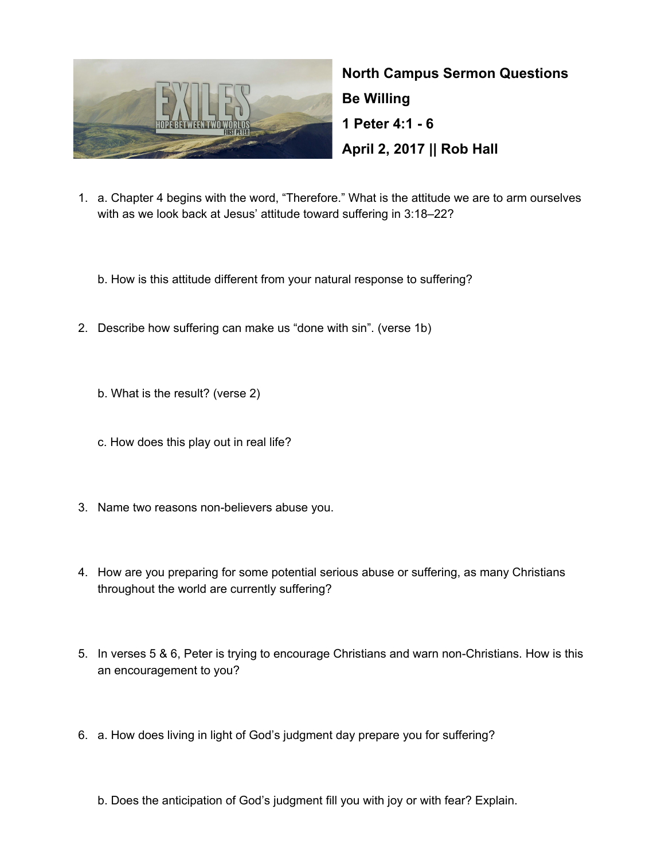

**North Campus Sermon Questions Be Willing 1 Peter 4:1 - 6 April 2, 2017 || Rob Hall**

- 1. a. Chapter 4 begins with the word, "Therefore." What is the attitude we are to arm ourselves with as we look back at Jesus' attitude toward suffering in 3:18–22?
	- b. How is this attitude different from your natural response to suffering?
- 2. Describe how suffering can make us "done with sin". (verse 1b)
	- b. What is the result? (verse 2)
	- c. How does this play out in real life?
- 3. Name two reasons non-believers abuse you.
- 4. How are you preparing for some potential serious abuse or suffering, as many Christians throughout the world are currently suffering?
- 5. In verses 5 & 6, Peter is trying to encourage Christians and warn non-Christians. How is this an encouragement to you?
- 6. a. How does living in light of God's judgment day prepare you for suffering?
	- b. Does the anticipation of God's judgment fill you with joy or with fear? Explain.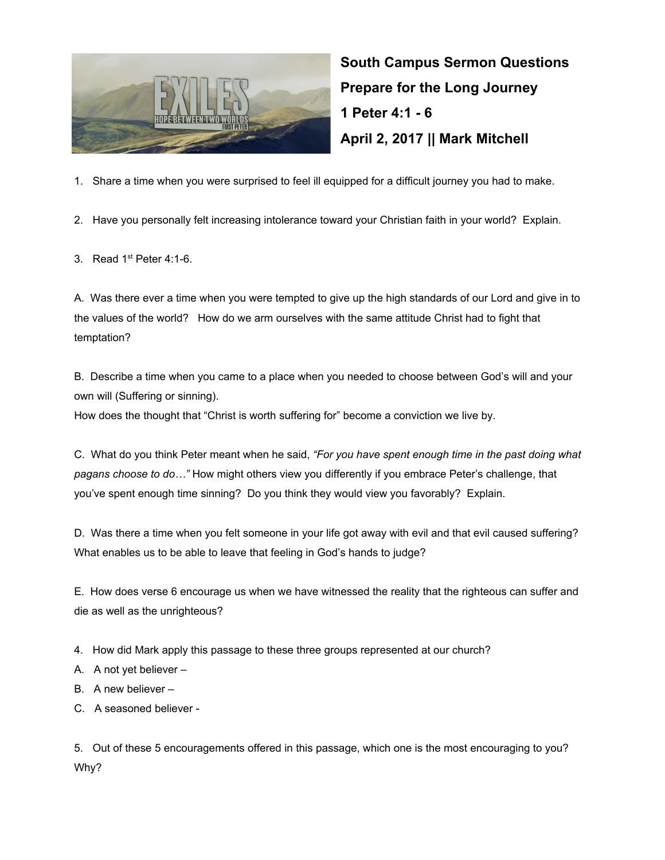

**South Campus Sermon Questions Prepare for the Long Journey 1 Peter 4:1 - 6 April 2, 2017 || Mark Mitchell**

1. Share a time when you were surprised to feel ill equipped for a difficult journey you had to make.

2. Have you personally felt increasing intolerance toward your Christian faith in your world? Explain.

3. Read  $1<sup>st</sup>$  Peter 4:1-6.

A. Was there ever a time when you were tempted to give up the high standards of our Lord and give in to the values of the world? How do we arm ourselves with the same attitude Christ had to fight that temptation?

B. Describe a time when you came to a place when you needed to choose between God's will and your own will (Suffering or sinning).

How does the thought that "Christ is worth suffering for" become a conviction we live by.

C. What do you think Peter meant when he said, *"For you have spent enough time in the past doing what pagans choose to do…"* How might others view you differently if you embrace Peter's challenge, that you've spent enough time sinning? Do you think they would view you favorably? Explain.

D. Was there a time when you felt someone in your life got away with evil and that evil caused suffering? What enables us to be able to leave that feeling in God's hands to judge?

E. How does verse 6 encourage us when we have witnessed the reality that the righteous can suffer and die as well as the unrighteous?

4. How did Mark apply this passage to these three groups represented at our church?

- A. A not yet believer –
- B. A new believer –
- C. A seasoned believer -

5. Out of these 5 encouragements offered in this passage, which one is the most encouraging to you? Why?